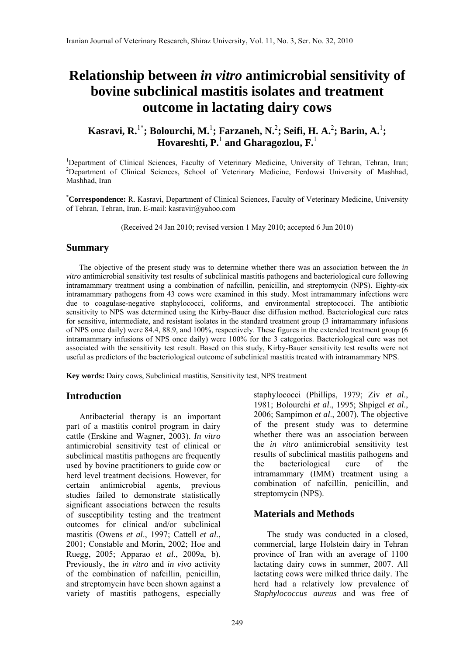# **Relationship between** *in vitro* **antimicrobial sensitivity of bovine subclinical mastitis isolates and treatment outcome in lactating dairy cows**

**Kasravi, R.**1\***; Bolourchi, M.**<sup>1</sup> **; Farzaneh, N.**<sup>2</sup> **; Seifi, H. A.**<sup>2</sup> **; Barin, A.**<sup>1</sup> **; Hovareshti, P.**<sup>1</sup>  **and Gharagozlou, F.**<sup>1</sup>

<sup>1</sup>Department of Clinical Sciences, Faculty of Veterinary Medicine, University of Tehran, Tehran, Iran;<br><sup>2</sup>Department of Clinical Sciences, School of Veterinary Medicine, Eardewsi University of Mechhod <sup>2</sup>Department of Clinical Sciences, School of Veterinary Medicine, Ferdowsi University of Mashhad, Mashhad, Iran

\* **Correspondence:** R. Kasravi, Department of Clinical Sciences, Faculty of Veterinary Medicine, University of Tehran, Tehran, Iran. E-mail: kasravir@yahoo.com

(Received 24 Jan 2010; revised version 1 May 2010; accepted 6 Jun 2010)

### **Summary**

 The objective of the present study was to determine whether there was an association between the *in vitro* antimicrobial sensitivity test results of subclinical mastitis pathogens and bacteriological cure following intramammary treatment using a combination of nafcillin, penicillin, and streptomycin (NPS). Eighty-six intramammary pathogens from 43 cows were examined in this study. Most intramammary infections were due to coagulase-negative staphylococci, coliforms, and environmental streptococci. The antibiotic sensitivity to NPS was determined using the Kirby-Bauer disc diffusion method. Bacteriological cure rates for sensitive, intermediate, and resistant isolates in the standard treatment group (3 intramammary infusions of NPS once daily) were 84.4, 88.9, and 100%, respectively. These figures in the extended treatment group (6 intramammary infusions of NPS once daily) were 100% for the 3 categories. Bacteriological cure was not associated with the sensitivity test result. Based on this study, Kirby-Bauer sensitivity test results were not useful as predictors of the bacteriological outcome of subclinical mastitis treated with intramammary NPS.

**Key words:** Dairy cows, Subclinical mastitis, Sensitivity test, NPS treatment

## **Introduction**

 Antibacterial therapy is an important part of a mastitis control program in dairy cattle (Erskine and Wagner, 2003). *In vitro* antimicrobial sensitivity test of clinical or subclinical mastitis pathogens are frequently used by bovine practitioners to guide cow or herd level treatment decisions. However, for certain antimicrobial agents, previous studies failed to demonstrate statistically significant associations between the results of susceptibility testing and the treatment outcomes for clinical and/or subclinical mastitis (Owens *et al*., 1997; Cattell *et al*., 2001; Constable and Morin, 2002; Hoe and Ruegg, 2005; Apparao *et al*., 2009a, b). Previously, the *in vitro* and *in vivo* activity of the combination of nafcillin, penicillin, and streptomycin have been shown against a variety of mastitis pathogens, especially staphylococci (Phillips, 1979; Ziv *et al*., 1981; Bolourchi *et al*., 1995; Shpigel *et al*., 2006; Sampimon *et al*., 2007). The objective of the present study was to determine whether there was an association between the *in vitro* antimicrobial sensitivity test results of subclinical mastitis pathogens and the bacteriological cure of the intramammary (IMM) treatment using a combination of nafcillin, penicillin, and streptomycin (NPS).

## **Materials and Methods**

 The study was conducted in a closed, commercial, large Holstein dairy in Tehran province of Iran with an average of 1100 lactating dairy cows in summer, 2007. All lactating cows were milked thrice daily. The herd had a relatively low prevalence of *Staphylococcus aureus* and was free of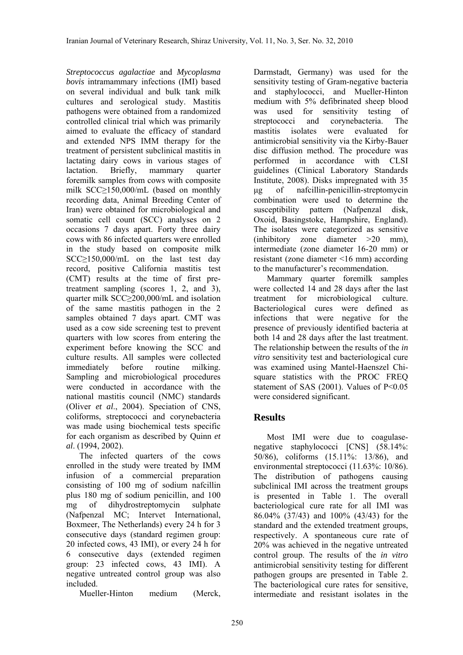*Streptococcus agalactiae* and *Mycoplasma bovis* intramammary infections (IMI) based on several individual and bulk tank milk cultures and serological study. Mastitis pathogens were obtained from a randomized controlled clinical trial which was primarily aimed to evaluate the efficacy of standard and extended NPS IMM therapy for the treatment of persistent subclinical mastitis in lactating dairy cows in various stages of lactation. Briefly, mammary quarter foremilk samples from cows with composite milk SCC≥150,000/mL (based on monthly recording data, Animal Breeding Center of Iran) were obtained for microbiological and somatic cell count (SCC) analyses on 2 occasions 7 days apart. Forty three dairy cows with 86 infected quarters were enrolled in the study based on composite milk SCC≥150,000/mL on the last test day record, positive California mastitis test (CMT) results at the time of first pretreatment sampling (scores 1, 2, and 3), quarter milk SCC≥200,000/mL and isolation of the same mastitis pathogen in the 2 samples obtained 7 days apart. CMT was used as a cow side screening test to prevent quarters with low scores from entering the experiment before knowing the SCC and culture results. All samples were collected immediately before routine milking. Sampling and microbiological procedures were conducted in accordance with the national mastitis council (NMC) standards (Oliver *et al*., 2004). Speciation of CNS, coliforms, streptococci and corynebacteria was made using biochemical tests specific for each organism as described by Quinn *et al*. (1994, 2002).

 The infected quarters of the cows enrolled in the study were treated by IMM infusion of a commercial preparation consisting of 100 mg of sodium nafcillin plus 180 mg of sodium penicillin, and 100 mg of dihydrostreptomycin sulphate (Nafpenzal MC; Intervet International, Boxmeer, The Netherlands) every 24 h for 3 consecutive days (standard regimen group: 20 infected cows, 43 IMI), or every 24 h for 6 consecutive days (extended regimen group: 23 infected cows, 43 IMI). A negative untreated control group was also included.

Mueller-Hinton medium (Merck,

Darmstadt, Germany) was used for the sensitivity testing of Gram-negative bacteria and staphylococci, and Mueller-Hinton medium with 5% defibrinated sheep blood was used for sensitivity testing of streptococci and corynebacteria. The mastitis isolates were evaluated for antimicrobial sensitivity via the Kirby-Bauer disc diffusion method. The procedure was performed in accordance with CLSI guidelines (Clinical Laboratory Standards Institute, 2008). Disks impregnated with 35 µg of nafcillin-penicillin-streptomycin combination were used to determine the susceptibility pattern (Nafpenzal disk, Oxoid, Basingstoke, Hampshire, England). The isolates were categorized as sensitive (inhibitory zone diameter >20 mm), intermediate (zone diameter 16-20 mm) or resistant (zone diameter <16 mm) according to the manufacturer's recommendation.

 Mammary quarter foremilk samples were collected 14 and 28 days after the last treatment for microbiological culture. Bacteriological cures were defined as infections that were negative for the presence of previously identified bacteria at both 14 and 28 days after the last treatment. The relationship between the results of the *in vitro* sensitivity test and bacteriological cure was examined using Mantel-Haenszel Chisquare statistics with the PROC FREQ statement of SAS (2001). Values of P<0.05 were considered significant.

# **Results**

 Most IMI were due to coagulasenegative staphylococci [CNS] (58.14%: 50/86), coliforms (15.11%: 13/86), and environmental streptococci (11.63%: 10/86). The distribution of pathogens causing subclinical IMI across the treatment groups is presented in Table 1. The overall bacteriological cure rate for all IMI was 86.04% (37/43) and 100% (43/43) for the standard and the extended treatment groups, respectively. A spontaneous cure rate of 20% was achieved in the negative untreated control group. The results of the *in vitro* antimicrobial sensitivity testing for different pathogen groups are presented in Table 2. The bacteriological cure rates for sensitive, intermediate and resistant isolates in the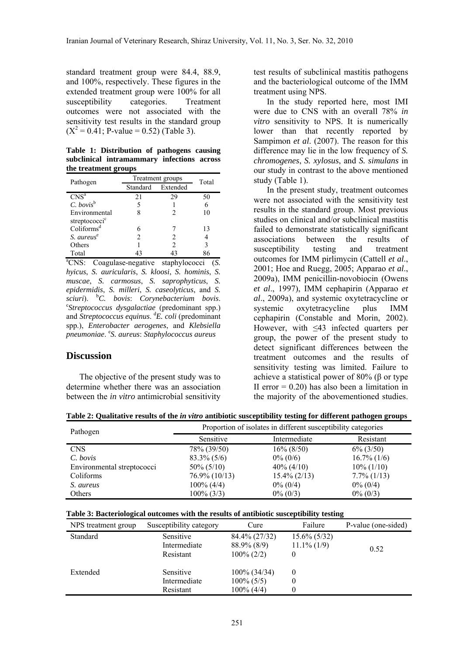standard treatment group were 84.4, 88.9, and 100%, respectively. These figures in the extended treatment group were 100% for all susceptibility categories. Treatment outcomes were not associated with the sensitivity test results in the standard group  $(X^2 = 0.41; P-value = 0.52)$  (Table 3).

**Table 1: Distribution of pathogens causing subclinical intramammary infections across the treatment groups** 

| Pathogen                  | Treatment groups |          | Total |
|---------------------------|------------------|----------|-------|
|                           | Standard         | Extended |       |
| CNS <sup>a</sup>          | 21               | 29       | 50    |
| $C.$ bovis <sup>b</sup>   |                  |          |       |
| Environmental             |                  | っ        | 10    |
| streptococci <sup>c</sup> |                  |          |       |
| Coliforms <sup>d</sup>    |                  |          | 13    |
| S. aureus <sup>e</sup>    | 2                | 2        |       |
| Others                    |                  | っ        | 3     |
| Total                     |                  | 43       |       |

a CNS: Coagulase-negative staphylococci (*S. hyicus*, *S. auricularis*, *S. kloosi*, *S. hominis*, *S. muscae*, *S. carmosus*, *S. saprophyticus*, *S. epidermidis*, *S. milleri*, *S. caseolyticus*, and *S. sciuri*). <sup>b</sup> *C. bovis*: *Corynebacterium bovis*. c *Streptococcus dysgalactiae* (predominant spp.) and *Streptococcus equinus*. <sup>d</sup> *E. coli* (predominant spp.), *Enterobacter aerogenes*, and *Klebsiella pneumoniae*. <sup>e</sup> *S. aureus*: *Staphylococcus aureus*

### **Discussion**

 The objective of the present study was to determine whether there was an association between the *in vitro* antimicrobial sensitivity test results of subclinical mastitis pathogens and the bacteriological outcome of the IMM treatment using NPS.

 In the study reported here, most IMI were due to CNS with an overall 78% *in vitro* sensitivity to NPS. It is numerically lower than that recently reported by Sampimon *et al*. (2007). The reason for this difference may lie in the low frequency of *S. chromogenes*, *S. xylosus*, and *S. simulans* in our study in contrast to the above mentioned study (Table 1).

 In the present study, treatment outcomes were not associated with the sensitivity test results in the standard group. Most previous studies on clinical and/or subclinical mastitis failed to demonstrate statistically significant associations between the results of susceptibility testing and treatment outcomes for IMM pirlimycin (Cattell *et al*., 2001; Hoe and Ruegg, 2005; Apparao *et al*., 2009a), IMM penicillin-novobiocin (Owens *et al*., 1997), IMM cephapirin (Apparao *et al*., 2009a), and systemic oxytetracycline or systemic oxytetracycline plus IMM cephapirin (Constable and Morin, 2002). However, with ≤43 infected quarters per group, the power of the present study to detect significant differences between the treatment outcomes and the results of sensitivity testing was limited. Failure to achieve a statistical power of 80% (β or type II error  $= 0.20$ ) has also been a limitation in the majority of the abovementioned studies.

| Table 2: Qualitative results of the <i>in vitro</i> antibiotic susceptibility testing for different pathogen groups |  |  |  |
|---------------------------------------------------------------------------------------------------------------------|--|--|--|
|                                                                                                                     |  |  |  |

| Pathogen                   | Proportion of isolates in different susceptibility categories |                 |                |
|----------------------------|---------------------------------------------------------------|-----------------|----------------|
|                            | Sensitive                                                     | Intermediate    | Resistant      |
| <b>CNS</b>                 | 78% (39/50)                                                   | $16\% (8/50)$   | $6\%$ (3/50)   |
| C. bovis                   | $83.3\%$ (5/6)                                                | $0\% (0/6)$     | $16.7\%$ (1/6) |
| Environmental streptococci | $50\% (5/10)$                                                 | $40\% (4/10)$   | $10\% (1/10)$  |
| Coliforms                  | $76.9\% (10/13)$                                              | $15.4\% (2/13)$ | $7.7\%$ (1/13) |
| S. aureus                  | $100\%$ (4/4)                                                 | $0\% (0/4)$     | $0\% (0/4)$    |
| Others                     | $100\% (3/3)$                                                 | $0\% (0/3)$     | $0\% (0/3)$    |

| Table 3: Bacteriological outcomes with the results of antibiotic susceptibility testing |  |
|-----------------------------------------------------------------------------------------|--|
|-----------------------------------------------------------------------------------------|--|

| NPS treatment group | Susceptibility category | Cure          | Failure         | P-value (one-sided) |
|---------------------|-------------------------|---------------|-----------------|---------------------|
| Standard            | Sensitive               | 84.4% (27/32) | $15.6\% (5/32)$ |                     |
|                     | Intermediate            | 88.9% (8/9)   | $11.1\%$ (1/9)  | 0.52                |
|                     | Resistant               | $100\% (2/2)$ |                 |                     |
| Extended            | Sensitive               | 100% (34/34)  | $\theta$        |                     |
|                     | Intermediate            | $100\% (5/5)$ |                 |                     |
|                     | Resistant               | $100\% (4/4)$ |                 |                     |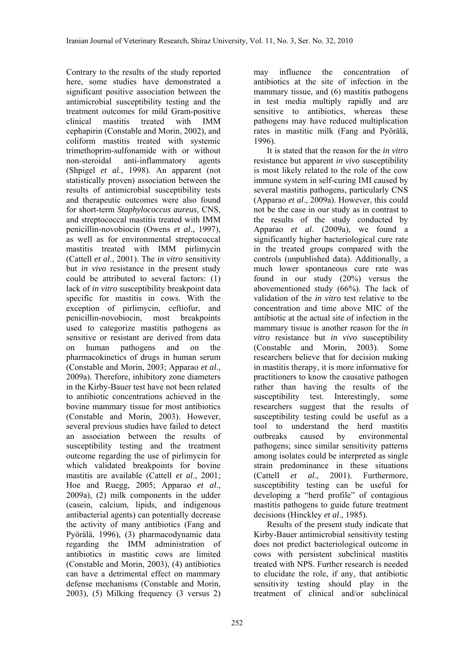Contrary to the results of the study reported here, some studies have demonstrated a significant positive association between the antimicrobial susceptibility testing and the treatment outcomes for mild Gram-positive clinical mastitis treated with IMM cephapirin (Constable and Morin, 2002), and coliform mastitis treated with systemic trimethoprim-sulfonamide with or without non-steroidal anti-inflammatory agents (Shpigel *et al*., 1998). An apparent (not statistically proven) association between the results of antimicrobial susceptibility tests and therapeutic outcomes were also found for short-term *Staphylococcus aureus*, CNS, and streptococcal mastitis treated with IMM penicillin-novobiocin (Owens *et al*., 1997), as well as for environmental streptococcal mastitis treated with IMM pirlimycin (Cattell *et al*., 2001). The *in vitro* sensitivity but *in vivo* resistance in the present study could be attributed to several factors: (1) lack of *in vitro* susceptibility breakpoint data specific for mastitis in cows. With the exception of pirlimycin, ceftiofur, and penicillin-novobiocin, most breakpoints used to categorize mastitis pathogens as sensitive or resistant are derived from data on human pathogens and on the pharmacokinetics of drugs in human serum (Constable and Morin, 2003; Apparao *et al*., 2009a). Therefore, inhibitory zone diameters in the Kirby-Bauer test have not been related to antibiotic concentrations achieved in the bovine mammary tissue for most antibiotics (Constable and Morin, 2003). However, several previous studies have failed to detect an association between the results of susceptibility testing and the treatment outcome regarding the use of pirlimycin for which validated breakpoints for bovine mastitis are available (Cattell *et al*., 2001; Hoe and Ruegg, 2005; Apparao *et al*., 2009a), (2) milk components in the udder (casein, calcium, lipids, and indigenous antibacterial agents) can potentially decrease the activity of many antibiotics (Fang and Pyörälä, 1996), (3) pharmacodynamic data regarding the IMM administration of antibiotics in mastitic cows are limited (Constable and Morin, 2003), (4) antibiotics can have a detrimental effect on mammary defense mechanisms (Constable and Morin, 2003), (5) Milking frequency (3 versus 2)

may influence the concentration of antibiotics at the site of infection in the mammary tissue, and (6) mastitis pathogens in test media multiply rapidly and are sensitive to antibiotics, whereas these pathogens may have reduced multiplication rates in mastitic milk (Fang and Pyörälä, 1996).

 It is stated that the reason for the *in vitro* resistance but apparent *in vivo* susceptibility is most likely related to the role of the cow immune system in self-curing IMI caused by several mastitis pathogens, particularly CNS (Apparao *et al*., 2009a). However, this could not be the case in our study as in contrast to the results of the study conducted by Apparao *et al*. (2009a), we found a significantly higher bacteriological cure rate in the treated groups compared with the controls (unpublished data). Additionally, a much lower spontaneous cure rate was found in our study (20%) versus the abovementioned study (66%). The lack of validation of the *in vitro* test relative to the concentration and time above MIC of the antibiotic at the actual site of infection in the mammary tissue is another reason for the *in vitro* resistance but *in vivo* susceptibility (Constable and Morin, 2003). Some researchers believe that for decision making in mastitis therapy, it is more informative for practitioners to know the causative pathogen rather than having the results of the susceptibility test. Interestingly, some researchers suggest that the results of susceptibility testing could be useful as a tool to understand the herd mastitis outbreaks caused by environmental pathogens; since similar sensitivity patterns among isolates could be interpreted as single strain predominance in these situations (Cattell *et al*., 2001). Furthermore, susceptibility testing can be useful for developing a "herd profile" of contagious mastitis pathogens to guide future treatment decisions (Hinckley *et al*., 1985).

 Results of the present study indicate that Kirby-Bauer antimicrobial sensitivity testing does not predict bacteriological outcome in cows with persistent subclinical mastitis treated with NPS. Further research is needed to elucidate the role, if any, that antibiotic sensitivity testing should play in the treatment of clinical and/or subclinical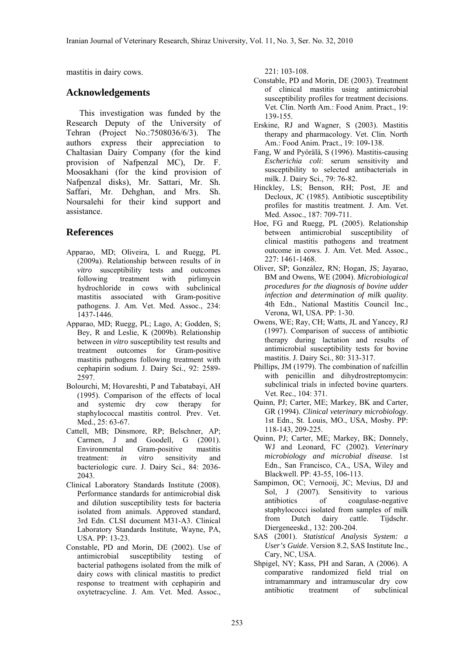mastitis in dairy cows.

## **Acknowledgements**

 This investigation was funded by the Research Deputy of the University of Tehran (Project No.:7508036/6/3). The authors express their appreciation to Chaltasian Dairy Company (for the kind provision of Nafpenzal MC), Dr. F. Moosakhani (for the kind provision of Nafpenzal disks), Mr. Sattari, Mr. Sh. Saffari, Mr. Dehghan, and Mrs. Sh. Noursalehi for their kind support and assistance.

## **References**

- Apparao, MD; Oliveira, L and Ruegg, PL (2009a). Relationship between results of *in vitro* susceptibility tests and outcomes following treatment with pirlimycin hydrochloride in cows with subclinical mastitis associated with Gram-positive pathogens. J. Am. Vet. Med. Assoc., 234: 1437-1446.
- Apparao, MD; Ruegg, PL; Lago, A; Godden, S; Bey, R and Leslie, K (2009b). Relationship between *in vitro* susceptibility test results and treatment outcomes for Gram-positive mastitis pathogens following treatment with cephapirin sodium. J. Dairy Sci., 92: 2589- 2597.
- Bolourchi, M; Hovareshti, P and Tabatabayi, AH (1995). Comparison of the effects of local and systemic dry cow therapy for staphylococcal mastitis control. Prev. Vet. Med., 25: 63-67.
- Cattell, MB; Dinsmore, RP; Belschner, AP; Carmen, J and Goodell, G (2001). Environmental Gram-positive mastitis treatment: *in vitro* sensitivity and bacteriologic cure. J. Dairy Sci., 84: 2036- 2043.
- Clinical Laboratory Standards Institute (2008). Performance standards for antimicrobial disk and dilution susceptibility tests for bacteria isolated from animals. Approved standard, 3rd Edn. CLSI document M31-A3. Clinical Laboratory Standards Institute, Wayne, PA, USA. PP: 13-23.
- Constable, PD and Morin, DE (2002). Use of antimicrobial susceptibility testing of bacterial pathogens isolated from the milk of dairy cows with clinical mastitis to predict response to treatment with cephapirin and oxytetracycline. J. Am. Vet. Med. Assoc.,

221: 103-108.

- Constable, PD and Morin, DE (2003). Treatment of clinical mastitis using antimicrobial susceptibility profiles for treatment decisions. Vet. Clin. North Am.: Food Anim. Pract., 19: 139-155.
- Erskine, RJ and Wagner, S (2003). Mastitis therapy and pharmacology. Vet. Clin. North Am.: Food Anim. Pract., 19: 109-138.
- Fang, W and Pyörälä, S (1996). Mastitis-causing *Escherichia coli*: serum sensitivity and susceptibility to selected antibacterials in milk. J. Dairy Sci., 79: 76-82.
- Hinckley, LS; Benson, RH; Post, JE and Decloux, JC (1985). Antibiotic susceptibility profiles for mastitis treatment. J. Am. Vet. Med. Assoc., 187: 709-711.
- Hoe, FG and Ruegg, PL (2005). Relationship between antimicrobial susceptibility of clinical mastitis pathogens and treatment outcome in cows. J. Am. Vet. Med. Assoc., 227: 1461-1468.
- Oliver, SP; González, RN; Hogan, JS; Jayarao, BM and Owens, WE (2004). *Microbiological procedures for the diagnosis of bovine udder infection and determination of milk quality*. 4th Edn., National Mastitis Council Inc., Verona, WI, USA. PP: 1-30.
- Owens, WE; Ray, CH; Watts, JL and Yancey, RJ (1997). Comparison of success of antibiotic therapy during lactation and results of antimicrobial susceptibility tests for bovine mastitis. J. Dairy Sci., 80: 313-317.
- Phillips, JM (1979). The combination of nafcillin with penicillin and dihydrostreptomycin: subclinical trials in infected bovine quarters. Vet. Rec., 104: 371.
- Quinn, PJ; Carter, ME; Markey, BK and Carter, GR (1994). *Clinical veterinary microbiology*. 1st Edn., St. Louis, MO., USA, Mosby. PP: 118-143, 209-225.
- Quinn, PJ; Carter, ME; Markey, BK; Donnely, WJ and Leonard, FC (2002). *Veterinary microbiology and microbial disease*. 1st Edn., San Francisco, CA., USA, Wiley and Blackwell. PP: 43-55, 106-113.
- Sampimon, OC; Vernooij, JC; Mevius, DJ and Sol, J (2007). Sensitivity to various antibiotics of coagulase-negative staphylococci isolated from samples of milk from Dutch dairy cattle. Tijdschr. Diergeneeskd., 132: 200-204.
- SAS (2001). *Statistical Analysis System: a User's Guide*. Version 8.2, SAS Institute Inc., Cary, NC, USA.
- Shpigel, NY; Kass, PH and Saran, A (2006). A comparative randomized field trial on intramammary and intramuscular dry cow antibiotic treatment of subclinical